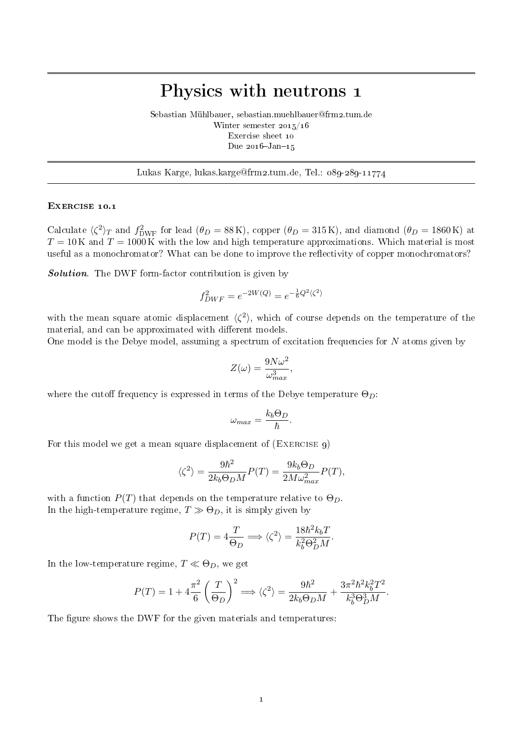## Physics with neutrons 1

Sebastian Mühlbauer, sebastian.muehlbauer@frm2.tum.de Winter semester 2015/16 Exercise sheet 10 Due  $2016 - Jan - 15$ 

Lukas Karge, lukas.karge@frm2.tum.de, Tel.: 089-289-11774

## EXERCISE 10.1

Calculate  $\langle \zeta^2 \rangle_T$  and  $f_{\text{DWF}}^2$  for lead  $(\theta_D = 88 \text{ K})$ , copper  $(\theta_D = 315 \text{ K})$ , and diamond  $(\theta_D = 1860 \text{ K})$  at  $T = 10$  K and  $T = 1000$  K with the low and high temperature approximations. Which material is most useful as a monochromator? What can be done to improve the reflectivity of copper monochromators?

Solution. The DWF form-factor contribution is given by

$$
f_{DWF}^2 = e^{-2W(Q)} = e^{-\frac{1}{6}Q^2 \langle \zeta^2 \rangle}
$$

with the mean square atomic displacement  $\langle \zeta^2 \rangle$ , which of course depends on the temperature of the material, and can be approximated with different models.

One model is the Debye model, assuming a spectrum of excitation frequencies for  $N$  atoms given by

$$
Z(\omega) = \frac{9N\omega^2}{\omega_{max}^3},
$$

where the cutoff frequency is expressed in terms of the Debye temperature  $\Theta_D$ :

$$
\omega_{max} = \frac{k_b \Theta_D}{\hbar}.
$$

For this model we get a mean square displacement of  $(EXERCISE 9)$ 

$$
\langle \zeta^2 \rangle = \frac{9\hbar^2}{2k_b\Theta_D M} P(T) = \frac{9k_b\Theta_D}{2M\omega_{max}^2} P(T),
$$

with a function  $P(T)$  that depends on the temperature relative to  $\Theta_D$ . In the high-temperature regime,  $T \gg \Theta_D$ , it is simply given by

$$
P(T) = 4 \frac{T}{\Theta_D} \Longrightarrow \langle \zeta^2 \rangle = \frac{18 \hbar^2 k_b T}{k_b^2 \Theta_D^2 M}.
$$

In the low-temperature regime,  $T \ll \Theta_D$ , we get

$$
P(T) = 1 + 4\frac{\pi^2}{6} \left(\frac{T}{\Theta_D}\right)^2 \Longrightarrow \langle \zeta^2 \rangle = \frac{9\hbar^2}{2k_b\Theta_D M} + \frac{3\pi^2\hbar^2 k_b^2 T^2}{k_b^3 \Theta_D^3 M}.
$$

The figure shows the DWF for the given materials and temperatures: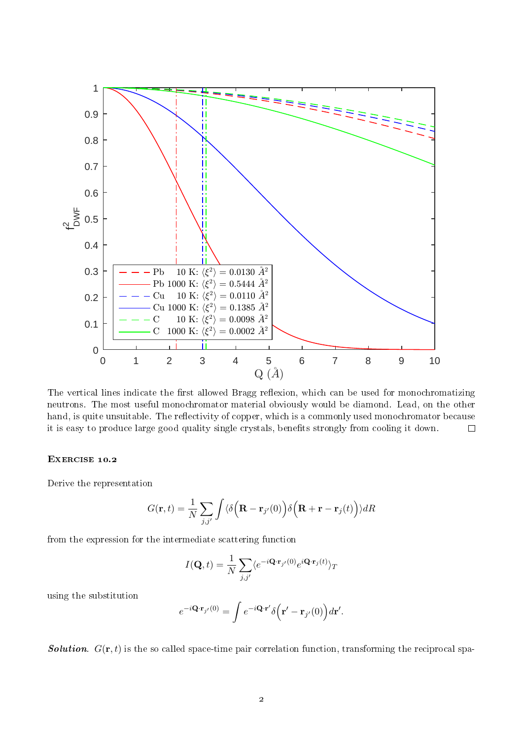

The vertical lines indicate the first allowed Bragg reflexion, which can be used for monochromatizing neutrons. The most useful monochromator material obviously would be diamond. Lead, on the other hand, is quite unsuitable. The reflectivity of copper, which is a commonly used monochromator because it is easy to produce large good quality single crystals, benefits strongly from cooling it down.  $\Box$ 

## EXERCISE 10.2

Derive the representation

$$
G(\mathbf{r},t) = \frac{1}{N} \sum_{j,j'} \int \langle \delta\left(\mathbf{R} - \mathbf{r}_{j'}(0)\right) \delta\left(\mathbf{R} + \mathbf{r} - \mathbf{r}_{j}(t)\right) \rangle dR
$$

from the expression for the intermediate scattering function

$$
I(\mathbf{Q},t) = \frac{1}{N} \sum_{j,j'} \langle e^{-i\mathbf{Q} \cdot \mathbf{r}_{j'}(0)} e^{i\mathbf{Q} \cdot \mathbf{r}_j(t)} \rangle_T
$$

using the substitution

$$
e^{-i\mathbf{Q}\cdot\mathbf{r}_{j'}(0)} = \int e^{-i\mathbf{Q}\cdot\mathbf{r}'} \delta(\mathbf{r}' - \mathbf{r}_{j'}(0)) d\mathbf{r}'.
$$

**Solution**.  $G(\mathbf{r}, t)$  is the so called space-time pair correlation function, transforming the reciprocal spa-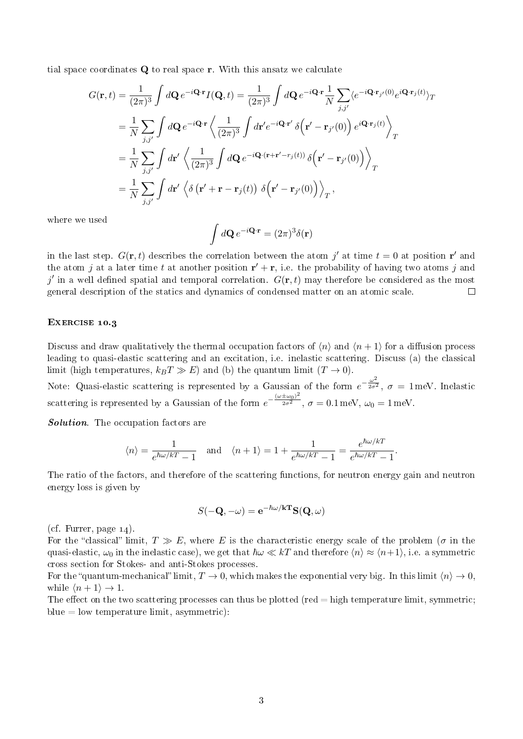tial space coordinates Q to real space r. With this ansatz we calculate

$$
G(\mathbf{r},t) = \frac{1}{(2\pi)^3} \int d\mathbf{Q} e^{-i\mathbf{Q}\cdot\mathbf{r}} I(\mathbf{Q},t) = \frac{1}{(2\pi)^3} \int d\mathbf{Q} e^{-i\mathbf{Q}\cdot\mathbf{r}} \frac{1}{N} \sum_{j,j'} \langle e^{-i\mathbf{Q}\cdot\mathbf{r}_{j'}(0)} e^{i\mathbf{Q}\cdot\mathbf{r}_{j}(t)} \rangle_T
$$
  
\n
$$
= \frac{1}{N} \sum_{j,j'} \int d\mathbf{Q} e^{-i\mathbf{Q}\cdot\mathbf{r}} \left\langle \frac{1}{(2\pi)^3} \int d\mathbf{r}' e^{-i\mathbf{Q}\cdot\mathbf{r}'} \delta(\mathbf{r}' - \mathbf{r}_{j'}(0)) e^{i\mathbf{Q}\cdot\mathbf{r}_{j}(t)} \right\rangle_T
$$
  
\n
$$
= \frac{1}{N} \sum_{j,j'} \int d\mathbf{r}' \left\langle \frac{1}{(2\pi)^3} \int d\mathbf{Q} e^{-i\mathbf{Q}\cdot(\mathbf{r}+\mathbf{r}' - \mathbf{r}_{j}(t))} \delta(\mathbf{r}' - \mathbf{r}_{j'}(0)) \right\rangle_T
$$
  
\n
$$
= \frac{1}{N} \sum_{j,j'} \int d\mathbf{r}' \left\langle \delta(\mathbf{r}' + \mathbf{r} - \mathbf{r}_{j}(t)) \delta(\mathbf{r}' - \mathbf{r}_{j'}(0)) \right\rangle_T,
$$

where we used

$$
\int d\mathbf{Q} e^{-i\mathbf{Q}\cdot\mathbf{r}} = (2\pi)^3 \delta(\mathbf{r})
$$

in the last step.  $G(\mathbf{r},t)$  describes the correlation between the atom j' at time  $t=0$  at position r' and the atom j at a later time t at another position  $\mathbf{r}' + \mathbf{r}$ , i.e. the probability of having two atoms j and j' in a well defined spatial and temporal correlation.  $G(\mathbf{r},t)$  may therefore be considered as the most general description of the statics and dynamics of condensed matter on an atomic scale.  $\Box$ 

## EXERCISE 10.3

Discuss and draw qualitatively the thermal occupation factors of  $\langle n \rangle$  and  $\langle n + 1 \rangle$  for a diffusion process leading to quasi-elastic scattering and an excitation, i.e. inelastic scattering. Discuss (a) the classical limit (high temperatures,  $k_BT \gg E$ ) and (b) the quantum limit  $(T \to 0)$ .

Note: Quasi-elastic scattering is represented by a Gaussian of the form  $e^{-\frac{\omega^2}{2\sigma^2}}$  $\overline{2\sigma^2}$ ,  $\sigma = 1$  meV. Inelastic scattering is represented by a Gaussian of the form  $e^{-\frac{(\omega \pm \omega_0)^2}{2\sigma^2}}$  $\overline{2\sigma^2}$ ,  $\sigma = 0.1 \,\text{meV}, \omega_0 = 1 \,\text{meV}.$ 

Solution. The occupation factors are

$$
\langle n \rangle = \frac{1}{e^{\hbar \omega/kT} - 1} \quad \text{and} \quad \langle n+1 \rangle = 1 + \frac{1}{e^{\hbar \omega/kT} - 1} = \frac{e^{\hbar \omega/kT}}{e^{\hbar \omega/kT} - 1}.
$$

The ratio of the factors, and therefore of the scattering functions, for neutron energy gain and neutron energy loss is given by

$$
S(-\mathbf{Q}, -\omega) = e^{-\hbar\omega/\mathbf{k}\mathbf{T}} \mathbf{S}(\mathbf{Q}, \omega)
$$

(cf. Furrer, page  $14$ ).

For the "classical" limit,  $T \gg E$ , where E is the characteristic energy scale of the problem ( $\sigma$  in the quasi-elastic,  $\omega_0$  in the inelastic case), we get that  $\hbar\omega \ll kT$  and therefore  $\langle n \rangle \approx \langle n+1 \rangle$ , i.e. a symmetric cross section for Stokes- and anti-Stokes processes.

For the "quantum-mechanical" limit,  $T \to 0$ , which makes the exponential very big. In this limit  $\langle n \rangle \to 0$ , while  $\langle n + 1 \rangle \rightarrow 1$ .

The effect on the two scattering processes can thus be plotted (red  $=$  high temperature limit, symmetric;  $blue = low temperature limit, asymmetric)$ :